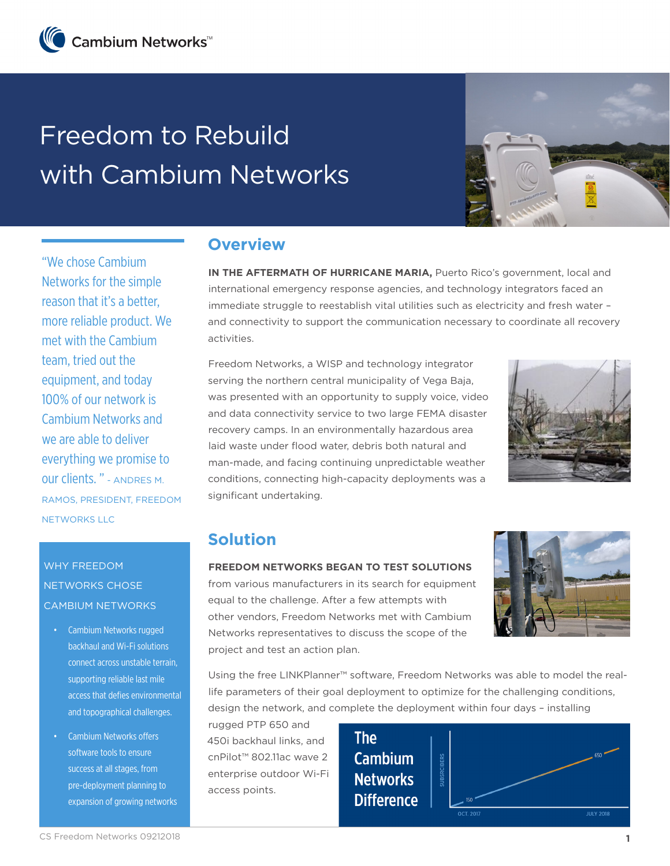# Freedom to Rebuild with Cambium Networks



"We chose Cambium Networks for the simple reason that it's a better, more reliable product. We met with the Cambium team, tried out the equipment, and today 100% of our network is Cambium Networks and we are able to deliver everything we promise to our clients. " - ANDRES M. RAMOS, PRESIDENT, FREEDOM NETWORKS LLC

### WHY FREEDOM NETWORKS CHOSE CAMBIUM NETWORKS

- Cambium Networks rugged backhaul and Wi-Fi solutions connect across unstable terrain, supporting reliable last mile access that defies environmental and topographical challenges.
- Cambium Networks offers software tools to ensure success at all stages, from pre-deployment planning to expansion of growing networks

## **Overview**

**IN THE AFTERMATH OF HURRICANE MARIA, Puerto Rico's government, local and** international emergency response agencies, and technology integrators faced an immediate struggle to reestablish vital utilities such as electricity and fresh water – and connectivity to support the communication necessary to coordinate all recovery activities.

Freedom Networks, a WISP and technology integrator serving the northern central municipality of Vega Baja, was presented with an opportunity to supply voice, video and data connectivity service to two large FEMA disaster recovery camps. In an environmentally hazardous area laid waste under flood water, debris both natural and man-made, and facing continuing unpredictable weather conditions, connecting high-capacity deployments was a significant undertaking.



## **Solution**

#### **FREEDOM NETWORKS BEGAN TO TEST SOLUTIONS**

from various manufacturers in its search for equipment equal to the challenge. After a few attempts with other vendors, Freedom Networks met with Cambium Networks representatives to discuss the scope of the project and test an action plan.



Using the free LINKPlanner™ software, Freedom Networks was able to model the reallife parameters of their goal deployment to optimize for the challenging conditions, design the network, and complete the deployment within four days – installing

rugged PTP 650 and 450i backhaul links, and cnPilot™ 802.11ac wave 2 enterprise outdoor Wi-Fi access points.